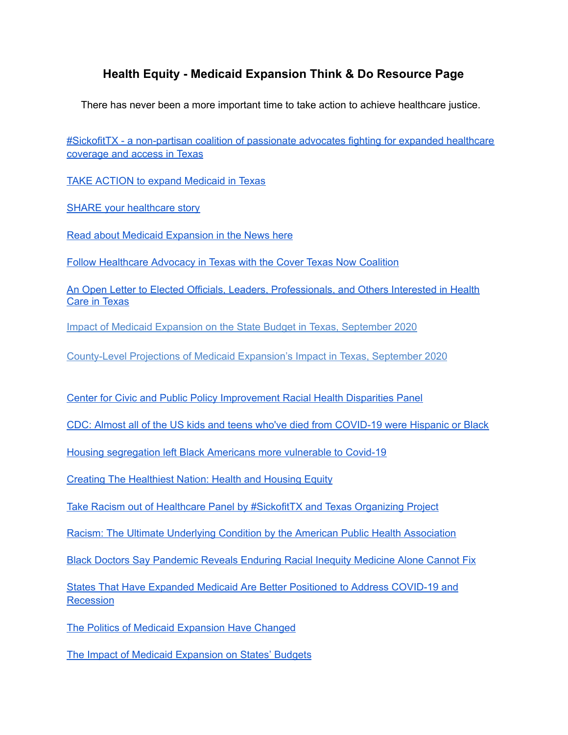## **Health Equity - Medicaid Expansion Think & Do Resource Page**

There has never been a more important time to take action to achieve healthcare justice.

#SickofitTX - a [non-partisan](https://sickofittx.com/) coalition of passionate advocates fighting for expanded healthcare [coverage](https://sickofittx.com/) and access in Texas

TAKE ACTION to expand [Medicaid](https://sickofittx.com/take-action-2/) in Texas

SHARE your [healthcare](https://sickofittx.com/tell-your-story/) story

Read about Medicaid [Expansion](https://sickofittx.com/news/) in the News here

Follow [Healthcare](https://covertexasnow.org/) Advocacy in Texas with the Cover Texas Now Coalition

An Open Letter to Elected Officials, Leaders, [Professionals,](https://www.episcopalhealth.org/research-report/open-letter-from-economists-in-texas-regarding-medicaid-expansion/) and Others Interested in Health Care in [Texas](https://www.episcopalhealth.org/research-report/open-letter-from-economists-in-texas-regarding-medicaid-expansion/)

Impact of Medicaid Expansion on the State Budget in Texas, [September](https://www.episcopalhealth.org/research-report/impact-of-medicaid-expansion-on-the-state-budget-in-texas/) 2020

[County-Level](https://www.episcopalhealth.org/research-report/county-level-projections-of-medicaid-expansions-impact-in-texas/) Projections of Medicaid Expansion's Impact in Texas, September 2020

Center for Civic and Public Policy [Improvement](https://www.facebook.com/garnetcoleman/videos/10218279998534580) Racial Health Disparities Panel

CDC: Almost all of the US kids and teens who've died from [COVID-19](https://www.businessinsider.com/cdc-black-and-brown-children-dying-from-the-coronavirus-2020-9?fbclid=IwAR0qD20Fad646UF2nnOJ4uaMY-0Sl6marPf1_gilXfh3atEfxhm2D5SRgB4) were Hispanic or Black

Housing [segregation](https://www.vox.com/2020/7/10/21319873/covid-19-coronavirus-cases-deaths-black-americans-housing-segregation?fbclid=IwAR3yEH5RA-uib68OF6STX0yuyJOqdgxbkdZIeIoD3phh3XEK_rqkeV4jnYw) left Black Americans more vulnerable to Covid-19

Creating The [Healthiest](https://www.apha.org/-/media/files/pdf/topics/equity/health_and_housing_equity.ashx?la=en&hash=FEDA5CD7041C72CBA783AB614E5EC20CAA040DCA) Nation: Health and Housing Equity

Take Racism out of Healthcare Panel by [#SickofitTX](https://www.facebook.com/watch/live/?v=2749134848698280&ref=watch_permalink) and Texas Organizing Project

Racism: The Ultimate Underlying Condition by the American Public Health [Association](https://www.youtube.com/watch?v=Cozo8lj_RTA&feature=emb_logo&fbclid=IwAR0RdPf47mm4CBVsG-276Tpin1XezH2V_D2qcUdImPQU2HjCTqkkH_ci3lg)

Black Doctors Say [Pandemic](https://www.npr.org/2020/06/27/883901907/black-doctors-say-pandemic-reveals-enduring-racial-inequity-medicine-alone-canno?fbclid=IwAR3rcteXUY2YPFbhkjYMw-76tnxDuG6aqvjx_q8ufebrDiHaIpJ25oY3_aA) Reveals Enduring Racial Inequity Medicine Alone Cannot Fix

States That Have Expanded Medicaid Are Better [Positioned](https://www.cbpp.org/research/health/states-that-have-expanded-medicaid-are-better-positioned-to-address-covid-19-and) to Address COVID-19 and [Recession](https://www.cbpp.org/research/health/states-that-have-expanded-medicaid-are-better-positioned-to-address-covid-19-and)

The Politics of Medicaid [Expansion](https://www.pewtrusts.org/en/research-and-analysis/blogs/stateline/2019/11/13/the-politics-of-medicaid-expansion-have-changed) Have Changed

The Impact of Medicaid [Expansion](https://www.commonwealthfund.org/publications/issue-briefs/2020/may/impact-medicaid-expansion-states-budgets) on States' Budgets